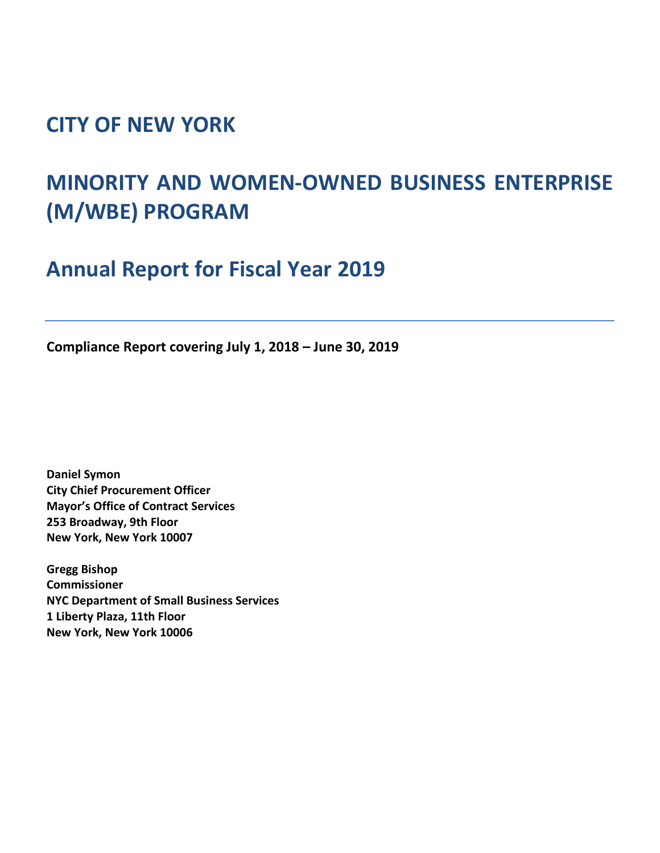## **CITY OF NEW YORK**

# **MINORITY AND WOMEN-OWNED BUSINESS ENTERPRISE (M/WBE) PROGRAM**

**Annual Report for Fiscal Year 2019**

**Compliance Report covering July 1, 2018 – June 30, 2019**

**Daniel Symon City Chief Procurement Officer Mayor's Office of Contract Services 253 Broadway, 9th Floor New York, New York 10007**

**Gregg Bishop Commissioner NYC Department of Small Business Services 1 Liberty Plaza, 11th Floor New York, New York 10006**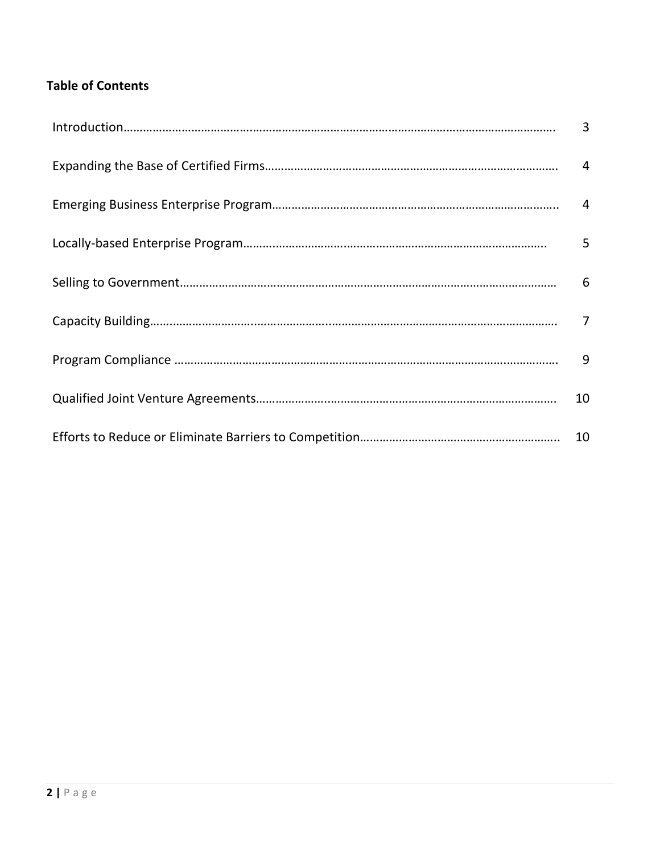### **Table of Contents**

| Introduction 3 |    |
|----------------|----|
|                |    |
|                |    |
|                | 5  |
|                |    |
|                |    |
|                |    |
|                | 10 |
|                |    |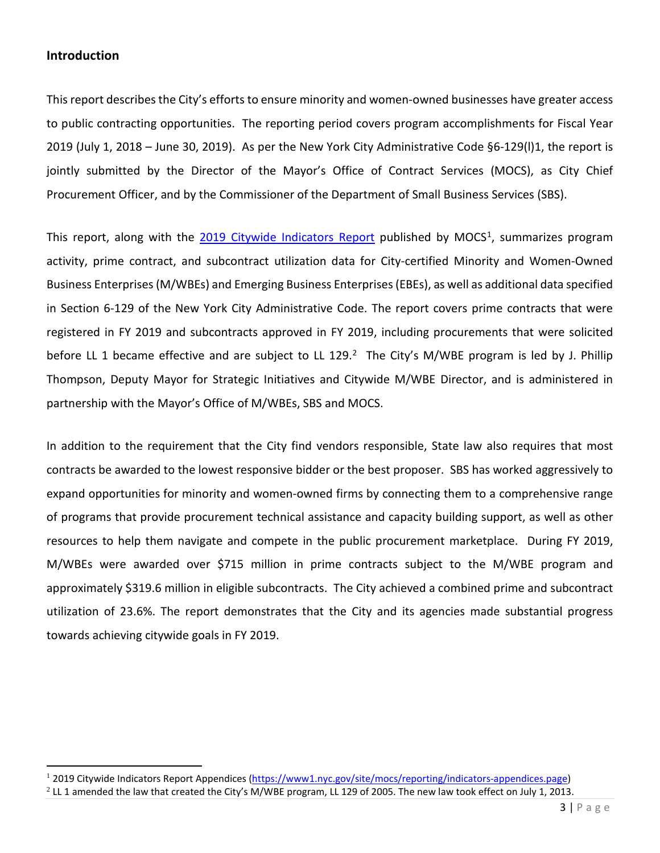#### **Introduction**

l

This report describes the City's efforts to ensure minority and women-owned businesses have greater access to public contracting opportunities. The reporting period covers program accomplishments for Fiscal Year 2019 (July 1, 2018 – June 30, 2019). As per the New York City Administrative Code §6-129(l)1, the report is jointly submitted by the Director of the Mayor's Office of Contract Services (MOCS), as City Chief Procurement Officer, and by the Commissioner of the Department of Small Business Services (SBS).

This report, along with the [2019 Citywide Indicators Report](https://www1.nyc.gov/site/mocs/reporting/reporting.page) published by MOCS<sup>[1](#page-2-0)</sup>, summarizes program activity, prime contract, and subcontract utilization data for City-certified Minority and Women-Owned Business Enterprises (M/WBEs) and Emerging Business Enterprises (EBEs), as well as additional data specified in Section 6-129 of the New York City Administrative Code. The report covers prime contracts that were registered in FY 2019 and subcontracts approved in FY 2019, including procurements that were solicited before LL 1 became effective and are subject to LL 1[2](#page-2-1)9.<sup>2</sup> The City's M/WBE program is led by J. Phillip Thompson, Deputy Mayor for Strategic Initiatives and Citywide M/WBE Director, and is administered in partnership with the Mayor's Office of M/WBEs, SBS and MOCS.

In addition to the requirement that the City find vendors responsible, State law also requires that most contracts be awarded to the lowest responsive bidder or the best proposer. SBS has worked aggressively to expand opportunities for minority and women-owned firms by connecting them to a comprehensive range of programs that provide procurement technical assistance and capacity building support, as well as other resources to help them navigate and compete in the public procurement marketplace. During FY 2019, M/WBEs were awarded over \$715 million in prime contracts subject to the M/WBE program and approximately \$319.6 million in eligible subcontracts. The City achieved a combined prime and subcontract utilization of 23.6%. The report demonstrates that the City and its agencies made substantial progress towards achieving citywide goals in FY 2019.

<span id="page-2-0"></span><sup>1</sup> 2019 Citywide Indicators Report Appendices [\(https://www1.nyc.gov/site/mocs/reporting/indicators-appendices.page\)](https://www1.nyc.gov/site/mocs/reporting/indicators-appendices.page)

<span id="page-2-1"></span> $2$  LL 1 amended the law that created the City's M/WBE program, LL 129 of 2005. The new law took effect on July 1, 2013.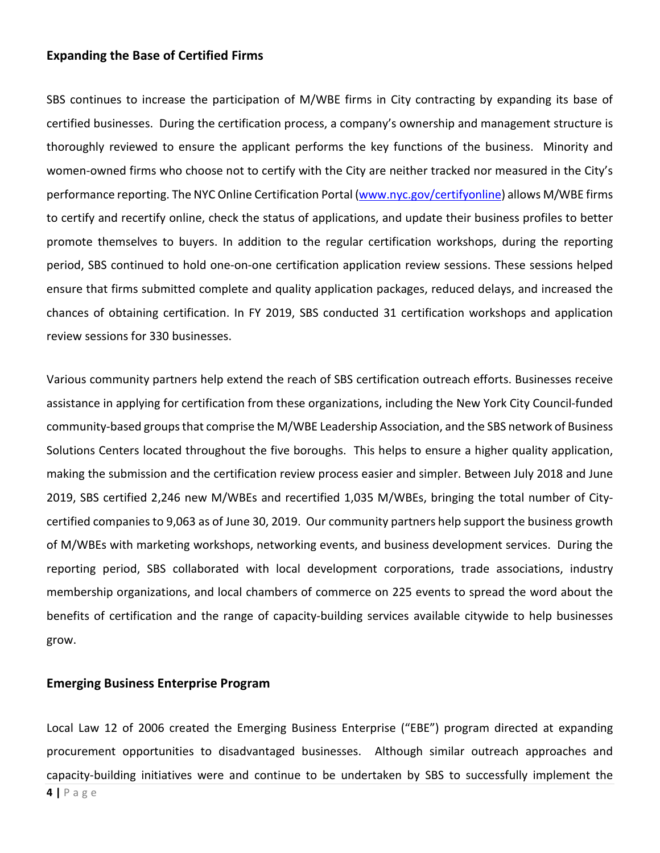#### **Expanding the Base of Certified Firms**

SBS continues to increase the participation of M/WBE firms in City contracting by expanding its base of certified businesses. During the certification process, a company's ownership and management structure is thoroughly reviewed to ensure the applicant performs the key functions of the business. Minority and women-owned firms who choose not to certify with the City are neither tracked nor measured in the City's performance reporting. The NYC Online Certification Portal [\(www.nyc.gov/certifyonline\)](https://sbsconnect.nyc.gov/) allows M/WBE firms to certify and recertify online, check the status of applications, and update their business profiles to better promote themselves to buyers. In addition to the regular certification workshops, during the reporting period, SBS continued to hold one-on-one certification application review sessions. These sessions helped ensure that firms submitted complete and quality application packages, reduced delays, and increased the chances of obtaining certification. In FY 2019, SBS conducted 31 certification workshops and application review sessions for 330 businesses.

Various community partners help extend the reach of SBS certification outreach efforts. Businesses receive assistance in applying for certification from these organizations, including the New York City Council-funded community-based groups that comprise the M/WBE Leadership Association, and the SBS network of Business Solutions Centers located throughout the five boroughs. This helps to ensure a higher quality application, making the submission and the certification review process easier and simpler. Between July 2018 and June 2019, SBS certified 2,246 new M/WBEs and recertified 1,035 M/WBEs, bringing the total number of Citycertified companies to 9,063 as of June 30, 2019. Our community partners help support the business growth of M/WBEs with marketing workshops, networking events, and business development services. During the reporting period, SBS collaborated with local development corporations, trade associations, industry membership organizations, and local chambers of commerce on 225 events to spread the word about the benefits of certification and the range of capacity-building services available citywide to help businesses grow.

#### **Emerging Business Enterprise Program**

Local Law 12 of 2006 created the Emerging Business Enterprise ("EBE") program directed at expanding procurement opportunities to disadvantaged businesses. Although similar outreach approaches and capacity-building initiatives were and continue to be undertaken by SBS to successfully implement the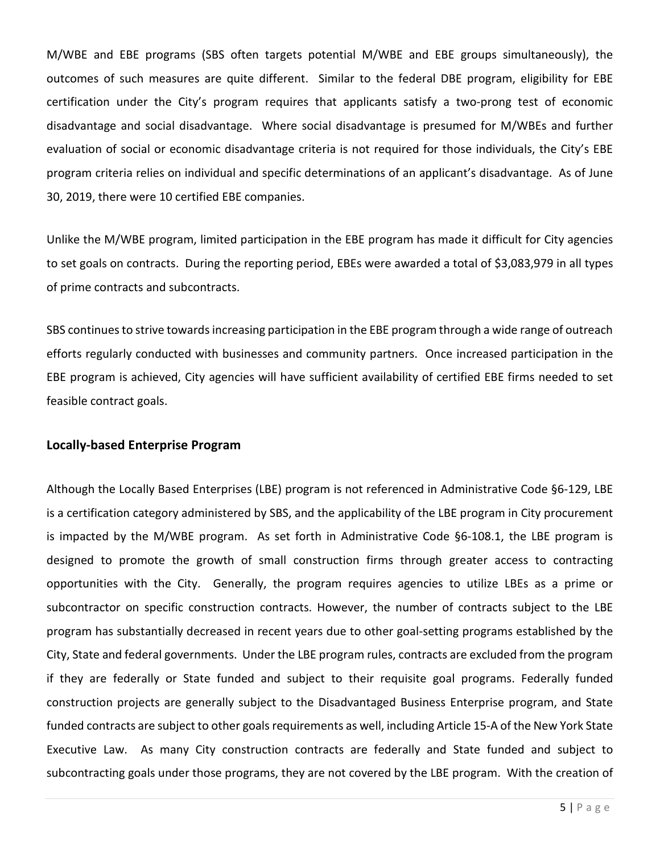M/WBE and EBE programs (SBS often targets potential M/WBE and EBE groups simultaneously), the outcomes of such measures are quite different. Similar to the federal DBE program, eligibility for EBE certification under the City's program requires that applicants satisfy a two-prong test of economic disadvantage and social disadvantage. Where social disadvantage is presumed for M/WBEs and further evaluation of social or economic disadvantage criteria is not required for those individuals, the City's EBE program criteria relies on individual and specific determinations of an applicant's disadvantage. As of June 30, 2019, there were 10 certified EBE companies.

Unlike the M/WBE program, limited participation in the EBE program has made it difficult for City agencies to set goals on contracts. During the reporting period, EBEs were awarded a total of \$3,083,979 in all types of prime contracts and subcontracts.

SBS continues to strive towards increasing participation in the EBE program through a wide range of outreach efforts regularly conducted with businesses and community partners. Once increased participation in the EBE program is achieved, City agencies will have sufficient availability of certified EBE firms needed to set feasible contract goals.

#### **Locally-based Enterprise Program**

Although the Locally Based Enterprises (LBE) program is not referenced in Administrative Code §6-129, LBE is a certification category administered by SBS, and the applicability of the LBE program in City procurement is impacted by the M/WBE program. As set forth in Administrative Code §6-108.1, the LBE program is designed to promote the growth of small construction firms through greater access to contracting opportunities with the City. Generally, the program requires agencies to utilize LBEs as a prime or subcontractor on specific construction contracts. However, the number of contracts subject to the LBE program has substantially decreased in recent years due to other goal-setting programs established by the City, State and federal governments. Under the LBE program rules, contracts are excluded from the program if they are federally or State funded and subject to their requisite goal programs. Federally funded construction projects are generally subject to the Disadvantaged Business Enterprise program, and State funded contracts are subject to other goals requirements as well, including Article 15-A of the New York State Executive Law. As many City construction contracts are federally and State funded and subject to subcontracting goals under those programs, they are not covered by the LBE program. With the creation of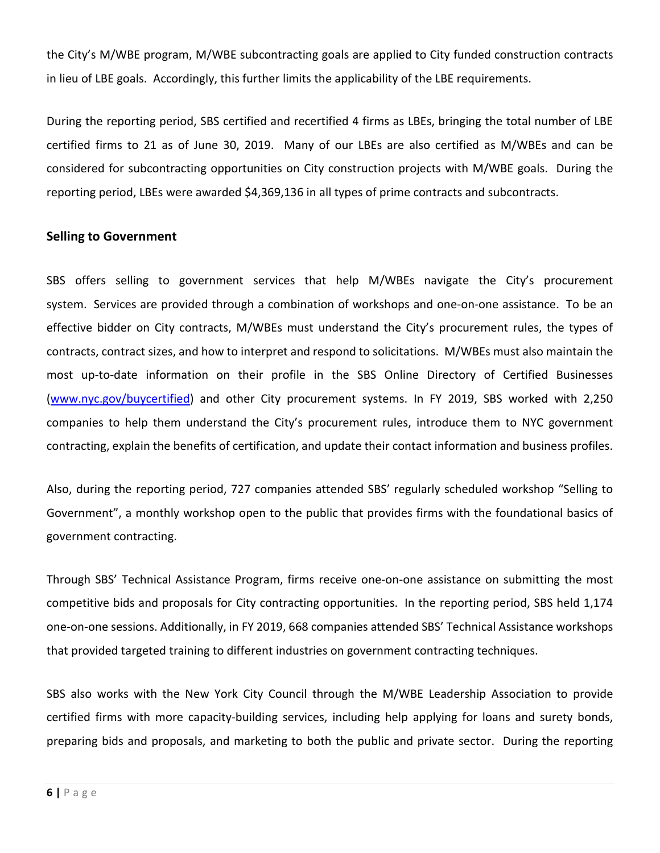the City's M/WBE program, M/WBE subcontracting goals are applied to City funded construction contracts in lieu of LBE goals. Accordingly, this further limits the applicability of the LBE requirements.

During the reporting period, SBS certified and recertified 4 firms as LBEs, bringing the total number of LBE certified firms to 21 as of June 30, 2019. Many of our LBEs are also certified as M/WBEs and can be considered for subcontracting opportunities on City construction projects with M/WBE goals. During the reporting period, LBEs were awarded \$4,369,136 in all types of prime contracts and subcontracts.

#### **Selling to Government**

SBS offers selling to government services that help M/WBEs navigate the City's procurement system. Services are provided through a combination of workshops and one-on-one assistance. To be an effective bidder on City contracts, M/WBEs must understand the City's procurement rules, the types of contracts, contract sizes, and how to interpret and respond to solicitations. M/WBEs must also maintain the most up-to-date information on their profile in the SBS Online Directory of Certified Businesses [\(www.nyc.gov/buycertified\)](http://mtprawvwsbswtp1-1.nyc.gov/) and other City procurement systems. In FY 2019, SBS worked with 2,250 companies to help them understand the City's procurement rules, introduce them to NYC government contracting, explain the benefits of certification, and update their contact information and business profiles.

Also, during the reporting period, 727 companies attended SBS' regularly scheduled workshop "Selling to Government", a monthly workshop open to the public that provides firms with the foundational basics of government contracting.

Through SBS' Technical Assistance Program, firms receive one-on-one assistance on submitting the most competitive bids and proposals for City contracting opportunities. In the reporting period, SBS held 1,174 one-on-one sessions. Additionally, in FY 2019, 668 companies attended SBS' Technical Assistance workshops that provided targeted training to different industries on government contracting techniques.

SBS also works with the New York City Council through the M/WBE Leadership Association to provide certified firms with more capacity-building services, including help applying for loans and surety bonds, preparing bids and proposals, and marketing to both the public and private sector. During the reporting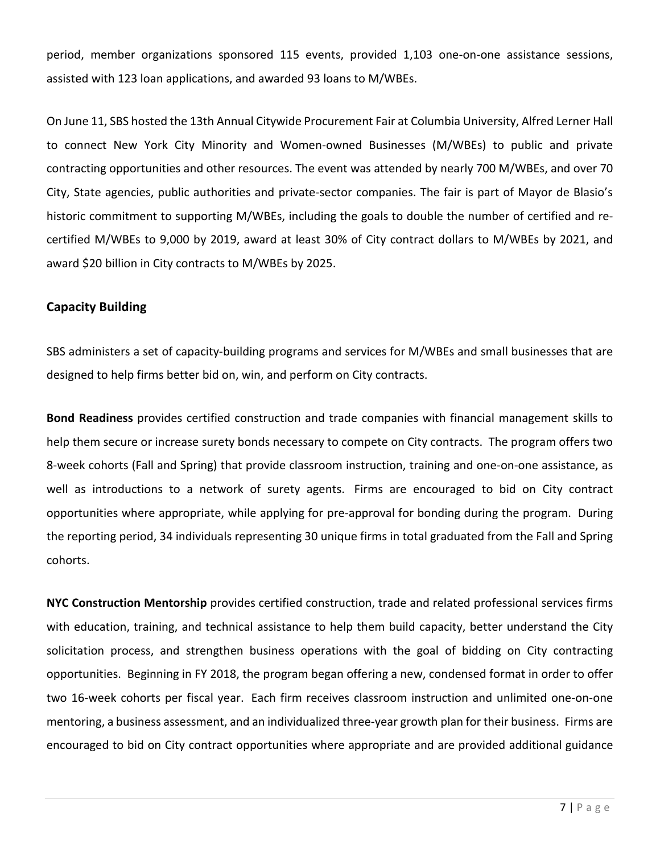period, member organizations sponsored 115 events, provided 1,103 one-on-one assistance sessions, assisted with 123 loan applications, and awarded 93 loans to M/WBEs.

On June 11, SBS hosted the 13th Annual Citywide Procurement Fair at Columbia University, Alfred Lerner Hall to connect New York City Minority and Women-owned Businesses (M/WBEs) to public and private contracting opportunities and other resources. The event was attended by nearly 700 M/WBEs, and over 70 City, State agencies, public authorities and private-sector companies. The fair is part of Mayor de Blasio's historic commitment to supporting M/WBEs, including the goals to double the number of certified and recertified M/WBEs to 9,000 by 2019, award at least 30% of City contract dollars to M/WBEs by 2021, and award \$20 billion in City contracts to M/WBEs by 2025.

#### **Capacity Building**

SBS administers a set of capacity-building programs and services for M/WBEs and small businesses that are designed to help firms better bid on, win, and perform on City contracts.

**Bond Readiness** provides certified construction and trade companies with financial management skills to help them secure or increase surety bonds necessary to compete on City contracts. The program offers two 8-week cohorts (Fall and Spring) that provide classroom instruction, training and one-on-one assistance, as well as introductions to a network of surety agents. Firms are encouraged to bid on City contract opportunities where appropriate, while applying for pre-approval for bonding during the program. During the reporting period, 34 individuals representing 30 unique firms in total graduated from the Fall and Spring cohorts.

**NYC Construction Mentorship** provides certified construction, trade and related professional services firms with education, training, and technical assistance to help them build capacity, better understand the City solicitation process, and strengthen business operations with the goal of bidding on City contracting opportunities. Beginning in FY 2018, the program began offering a new, condensed format in order to offer two 16-week cohorts per fiscal year. Each firm receives classroom instruction and unlimited one-on-one mentoring, a business assessment, and an individualized three-year growth plan for their business. Firms are encouraged to bid on City contract opportunities where appropriate and are provided additional guidance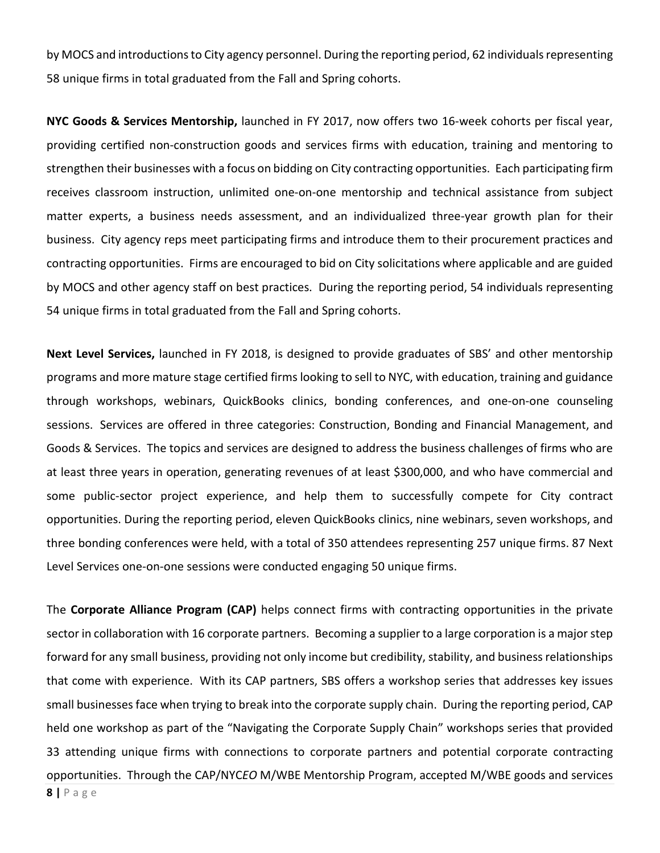by MOCS and introductions to City agency personnel. During the reporting period, 62 individuals representing 58 unique firms in total graduated from the Fall and Spring cohorts.

**NYC Goods & Services Mentorship,** launched in FY 2017, now offers two 16-week cohorts per fiscal year, providing certified non-construction goods and services firms with education, training and mentoring to strengthen their businesses with a focus on bidding on City contracting opportunities. Each participating firm receives classroom instruction, unlimited one-on-one mentorship and technical assistance from subject matter experts, a business needs assessment, and an individualized three-year growth plan for their business. City agency reps meet participating firms and introduce them to their procurement practices and contracting opportunities. Firms are encouraged to bid on City solicitations where applicable and are guided by MOCS and other agency staff on best practices. During the reporting period, 54 individuals representing 54 unique firms in total graduated from the Fall and Spring cohorts.

**Next Level Services,** launched in FY 2018, is designed to provide graduates of SBS' and other mentorship programs and more mature stage certified firms looking to sell to NYC, with education, training and guidance through workshops, webinars, QuickBooks clinics, bonding conferences, and one-on-one counseling sessions. Services are offered in three categories: Construction, Bonding and Financial Management, and Goods & Services. The topics and services are designed to address the business challenges of firms who are at least three years in operation, generating revenues of at least \$300,000, and who have commercial and some public-sector project experience, and help them to successfully compete for City contract opportunities. During the reporting period, eleven QuickBooks clinics, nine webinars, seven workshops, and three bonding conferences were held, with a total of 350 attendees representing 257 unique firms. 87 Next Level Services one-on-one sessions were conducted engaging 50 unique firms.

The **Corporate Alliance Program (CAP)** helps connect firms with contracting opportunities in the private sector in collaboration with 16 corporate partners. Becoming a supplier to a large corporation is a major step forward for any small business, providing not only income but credibility, stability, and business relationships that come with experience. With its CAP partners, SBS offers a workshop series that addresses key issues small businesses face when trying to break into the corporate supply chain. During the reporting period, CAP held one workshop as part of the "Navigating the Corporate Supply Chain" workshops series that provided 33 attending unique firms with connections to corporate partners and potential corporate contracting opportunities. Through the CAP/NYC*EO* M/WBE Mentorship Program, accepted M/WBE goods and services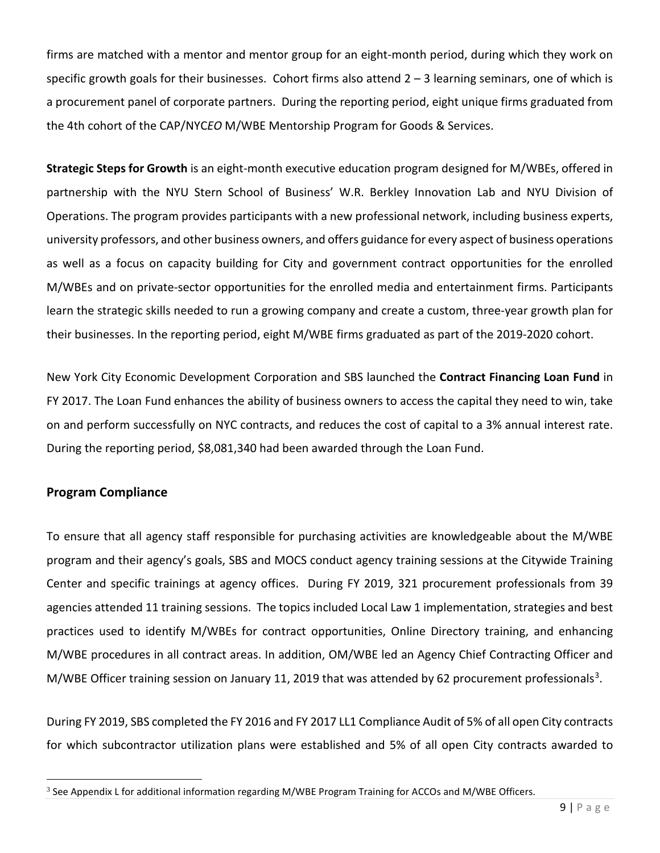firms are matched with a mentor and mentor group for an eight-month period, during which they work on specific growth goals for their businesses. Cohort firms also attend  $2 - 3$  learning seminars, one of which is a procurement panel of corporate partners. During the reporting period, eight unique firms graduated from the 4th cohort of the CAP/NYC*EO* M/WBE Mentorship Program for Goods & Services.

**Strategic Steps for Growth** is an eight-month executive education program designed for M/WBEs, offered in partnership with the NYU Stern School of Business' W.R. Berkley Innovation Lab and NYU Division of Operations. The program provides participants with a new professional network, including business experts, university professors, and other business owners, and offers guidance for every aspect of business operations as well as a focus on capacity building for City and government contract opportunities for the enrolled M/WBEs and on private-sector opportunities for the enrolled media and entertainment firms. Participants learn the strategic skills needed to run a growing company and create a custom, three-year growth plan for their businesses. In the reporting period, eight M/WBE firms graduated as part of the 2019-2020 cohort.

New York City Economic Development Corporation and SBS launched the **Contract Financing Loan Fund** in FY 2017. The Loan Fund enhances the ability of business owners to access the capital they need to win, take on and perform successfully on NYC contracts, and reduces the cost of capital to a 3% annual interest rate. During the reporting period, \$8,081,340 had been awarded through the Loan Fund.

#### **Program Compliance**

 $\overline{\phantom{a}}$ 

To ensure that all agency staff responsible for purchasing activities are knowledgeable about the M/WBE program and their agency's goals, SBS and MOCS conduct agency training sessions at the Citywide Training Center and specific trainings at agency offices. During FY 2019, 321 procurement professionals from 39 agencies attended 11 training sessions. The topics included Local Law 1 implementation, strategies and best practices used to identify M/WBEs for contract opportunities, Online Directory training, and enhancing M/WBE procedures in all contract areas. In addition, OM/WBE led an Agency Chief Contracting Officer and M/WBE Officer training session on January 11, 2019 that was attended by 62 procurement professionals<sup>[3](#page-8-0)</sup>.

During FY 2019, SBS completed the FY 2016 and FY 2017 LL1 Compliance Audit of 5% of all open City contracts for which subcontractor utilization plans were established and 5% of all open City contracts awarded to

<span id="page-8-0"></span><sup>&</sup>lt;sup>3</sup> See Appendix L for additional information regarding M/WBE Program Training for ACCOs and M/WBE Officers.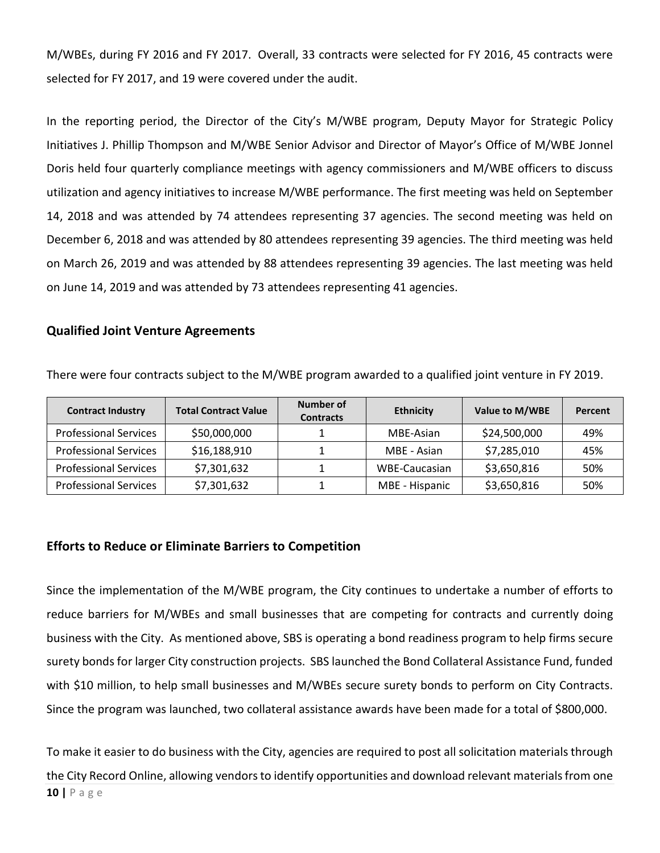M/WBEs, during FY 2016 and FY 2017. Overall, 33 contracts were selected for FY 2016, 45 contracts were selected for FY 2017, and 19 were covered under the audit.

In the reporting period, the Director of the City's M/WBE program, Deputy Mayor for Strategic Policy Initiatives J. Phillip Thompson and M/WBE Senior Advisor and Director of Mayor's Office of M/WBE Jonnel Doris held four quarterly compliance meetings with agency commissioners and M/WBE officers to discuss utilization and agency initiatives to increase M/WBE performance. The first meeting was held on September 14, 2018 and was attended by 74 attendees representing 37 agencies. The second meeting was held on December 6, 2018 and was attended by 80 attendees representing 39 agencies. The third meeting was held on March 26, 2019 and was attended by 88 attendees representing 39 agencies. The last meeting was held on June 14, 2019 and was attended by 73 attendees representing 41 agencies.

#### **Qualified Joint Venture Agreements**

| <b>Contract Industry</b>     | <b>Total Contract Value</b> | Number of<br><b>Contracts</b> | <b>Ethnicity</b> | Value to M/WBE | Percent |
|------------------------------|-----------------------------|-------------------------------|------------------|----------------|---------|
| <b>Professional Services</b> | \$50,000,000                |                               | MBE-Asian        | \$24,500,000   | 49%     |
| <b>Professional Services</b> | \$16,188,910                |                               | MBE - Asian      | \$7,285,010    | 45%     |
| <b>Professional Services</b> | \$7,301,632                 |                               | WBE-Caucasian    | \$3,650,816    | 50%     |
| <b>Professional Services</b> | \$7,301,632                 |                               | MBE - Hispanic   | \$3,650,816    | 50%     |

There were four contracts subject to the M/WBE program awarded to a qualified joint venture in FY 2019.

#### **Efforts to Reduce or Eliminate Barriers to Competition**

Since the implementation of the M/WBE program, the City continues to undertake a number of efforts to reduce barriers for M/WBEs and small businesses that are competing for contracts and currently doing business with the City. As mentioned above, SBS is operating a bond readiness program to help firms secure surety bonds for larger City construction projects. SBS launched the Bond Collateral Assistance Fund, funded with \$10 million, to help small businesses and M/WBEs secure surety bonds to perform on City Contracts. Since the program was launched, two collateral assistance awards have been made for a total of \$800,000.

**10 |** Page To make it easier to do business with the City, agencies are required to post all solicitation materials through the City Record Online, allowing vendors to identify opportunities and download relevant materials from one